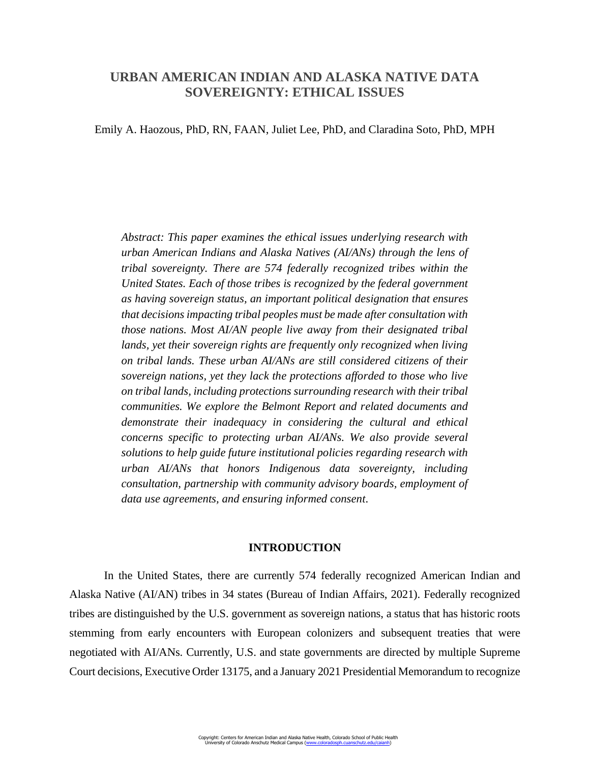# **URBAN AMERICAN INDIAN AND ALASKA NATIVE DATA SOVEREIGNTY: ETHICAL ISSUES**

Emily A. Haozous, PhD, RN, FAAN, Juliet Lee, PhD, and Claradina Soto, PhD, MPH

*Abstract: This paper examines the ethical issues underlying research with urban American Indians and Alaska Natives (AI/ANs) through the lens of tribal sovereignty. There are 574 federally recognized tribes within the United States. Each of those tribes is recognized by the federal government as having sovereign status, an important political designation that ensures that decisions impacting tribal peoples must be made after consultation with those nations. Most AI/AN people live away from their designated tribal lands, yet their sovereign rights are frequently only recognized when living on tribal lands. These urban AI/ANs are still considered citizens of their sovereign nations, yet they lack the protections afforded to those who live on tribal lands, including protections surrounding research with their tribal communities. We explore the Belmont Report and related documents and demonstrate their inadequacy in considering the cultural and ethical concerns specific to protecting urban AI/ANs. We also provide several solutions to help guide future institutional policies regarding research with urban AI/ANs that honors Indigenous data sovereignty, including consultation, partnership with community advisory boards, employment of data use agreements, and ensuring informed consent.*

#### **INTRODUCTION**

In the United States, there are currently 574 federally recognized American Indian and Alaska Native (AI/AN) tribes in 34 states (Bureau of Indian Affairs, 2021). Federally recognized tribes are distinguished by the U.S. government as sovereign nations, a status that has historic roots stemming from early encounters with European colonizers and subsequent treaties that were negotiated with AI/ANs. Currently, U.S. and state governments are directed by multiple Supreme Court decisions, Executive Order 13175, and a January 2021 Presidential Memorandum to recognize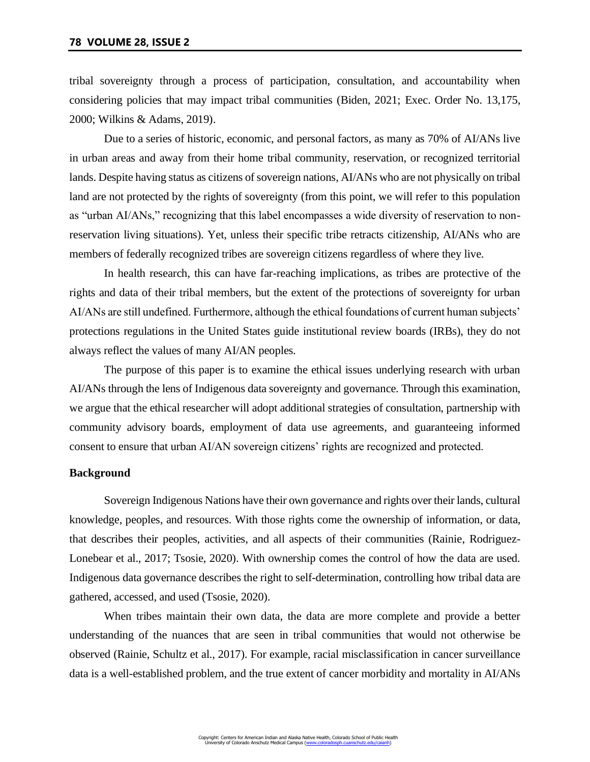tribal sovereignty through a process of participation, consultation, and accountability when considering policies that may impact tribal communities (Biden, 2021; Exec. Order No. 13,175, 2000; Wilkins & Adams, 2019).

Due to a series of historic, economic, and personal factors, as many as 70% of AI/ANs live in urban areas and away from their home tribal community, reservation, or recognized territorial lands. Despite having status as citizens of sovereign nations, AI/ANs who are not physically on tribal land are not protected by the rights of sovereignty (from this point, we will refer to this population as "urban AI/ANs," recognizing that this label encompasses a wide diversity of reservation to nonreservation living situations). Yet, unless their specific tribe retracts citizenship, AI/ANs who are members of federally recognized tribes are sovereign citizens regardless of where they live.

In health research, this can have far-reaching implications, as tribes are protective of the rights and data of their tribal members, but the extent of the protections of sovereignty for urban AI/ANs are still undefined. Furthermore, although the ethical foundations of current human subjects' protections regulations in the United States guide institutional review boards (IRBs), they do not always reflect the values of many AI/AN peoples.

The purpose of this paper is to examine the ethical issues underlying research with urban AI/ANs through the lens of Indigenous data sovereignty and governance. Through this examination, we argue that the ethical researcher will adopt additional strategies of consultation, partnership with community advisory boards, employment of data use agreements, and guaranteeing informed consent to ensure that urban AI/AN sovereign citizens' rights are recognized and protected.

# **Background**

Sovereign Indigenous Nations have their own governance and rights over their lands, cultural knowledge, peoples, and resources. With those rights come the ownership of information, or data, that describes their peoples, activities, and all aspects of their communities (Rainie, Rodriguez-Lonebear et al., 2017; Tsosie, 2020). With ownership comes the control of how the data are used. Indigenous data governance describes the right to self-determination, controlling how tribal data are gathered, accessed, and used (Tsosie, 2020).

When tribes maintain their own data, the data are more complete and provide a better understanding of the nuances that are seen in tribal communities that would not otherwise be observed (Rainie, Schultz et al., 2017). For example, racial misclassification in cancer surveillance data is a well-established problem, and the true extent of cancer morbidity and mortality in AI/ANs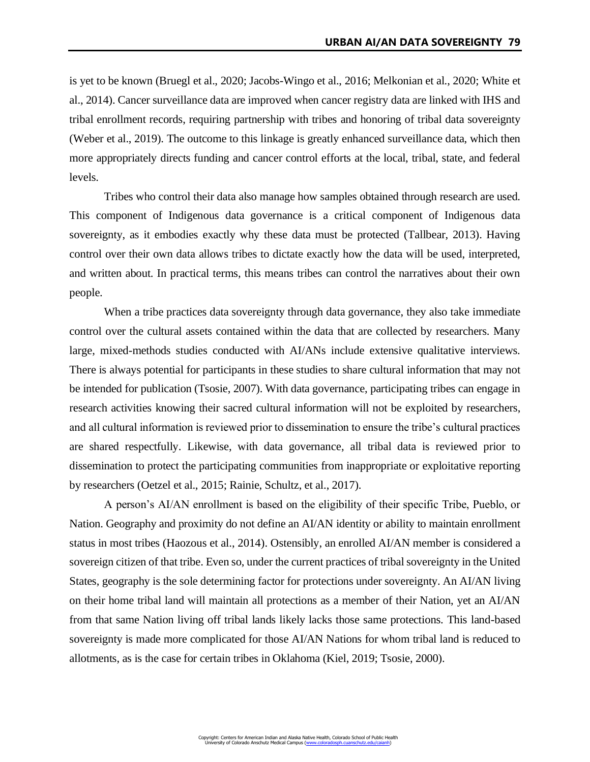is yet to be known (Bruegl et al., 2020; Jacobs-Wingo et al., 2016; Melkonian et al., 2020; White et al., 2014). Cancer surveillance data are improved when cancer registry data are linked with IHS and tribal enrollment records, requiring partnership with tribes and honoring of tribal data sovereignty (Weber et al., 2019). The outcome to this linkage is greatly enhanced surveillance data, which then more appropriately directs funding and cancer control efforts at the local, tribal, state, and federal levels.

Tribes who control their data also manage how samples obtained through research are used. This component of Indigenous data governance is a critical component of Indigenous data sovereignty, as it embodies exactly why these data must be protected (Tallbear, 2013). Having control over their own data allows tribes to dictate exactly how the data will be used, interpreted, and written about. In practical terms, this means tribes can control the narratives about their own people.

When a tribe practices data sovereignty through data governance, they also take immediate control over the cultural assets contained within the data that are collected by researchers. Many large, mixed-methods studies conducted with AI/ANs include extensive qualitative interviews. There is always potential for participants in these studies to share cultural information that may not be intended for publication (Tsosie, 2007). With data governance, participating tribes can engage in research activities knowing their sacred cultural information will not be exploited by researchers, and all cultural information is reviewed prior to dissemination to ensure the tribe's cultural practices are shared respectfully. Likewise, with data governance, all tribal data is reviewed prior to dissemination to protect the participating communities from inappropriate or exploitative reporting by researchers (Oetzel et al., 2015; Rainie, Schultz, et al., 2017).

A person's AI/AN enrollment is based on the eligibility of their specific Tribe, Pueblo, or Nation. Geography and proximity do not define an AI/AN identity or ability to maintain enrollment status in most tribes (Haozous et al., 2014). Ostensibly, an enrolled AI/AN member is considered a sovereign citizen of that tribe. Even so, under the current practices of tribal sovereignty in the United States, geography is the sole determining factor for protections under sovereignty. An AI/AN living on their home tribal land will maintain all protections as a member of their Nation, yet an AI/AN from that same Nation living off tribal lands likely lacks those same protections. This land-based sovereignty is made more complicated for those AI/AN Nations for whom tribal land is reduced to allotments, as is the case for certain tribes in Oklahoma (Kiel, 2019; Tsosie, 2000).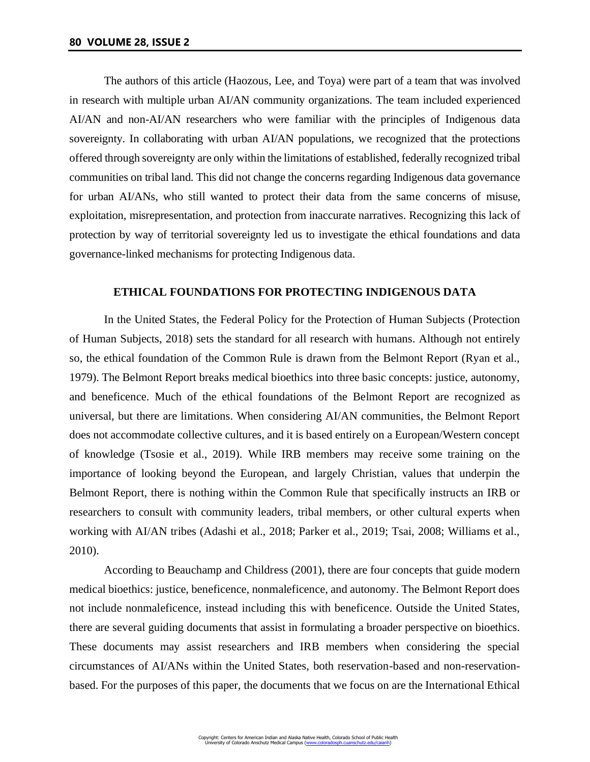The authors of this article (Haozous, Lee, and Toya) were part of a team that was involved in research with multiple urban AI/AN community organizations. The team included experienced AI/AN and non-AI/AN researchers who were familiar with the principles of Indigenous data sovereignty. In collaborating with urban AI/AN populations, we recognized that the protections offered through sovereignty are only within the limitations of established, federally recognized tribal communities on tribal land. This did not change the concerns regarding Indigenous data governance for urban AI/ANs, who still wanted to protect their data from the same concerns of misuse, exploitation, misrepresentation, and protection from inaccurate narratives. Recognizing this lack of protection by way of territorial sovereignty led us to investigate the ethical foundations and data governance-linked mechanisms for protecting Indigenous data.

# **ETHICAL FOUNDATIONS FOR PROTECTING INDIGENOUS DATA**

In the United States, the Federal Policy for the Protection of Human Subjects (Protection of Human Subjects, 2018) sets the standard for all research with humans. Although not entirely so, the ethical foundation of the Common Rule is drawn from the Belmont Report (Ryan et al., 1979). The Belmont Report breaks medical bioethics into three basic concepts: justice, autonomy, and beneficence. Much of the ethical foundations of the Belmont Report are recognized as universal, but there are limitations. When considering AI/AN communities, the Belmont Report does not accommodate collective cultures, and it is based entirely on a European/Western concept of knowledge (Tsosie et al., 2019). While IRB members may receive some training on the importance of looking beyond the European, and largely Christian, values that underpin the Belmont Report, there is nothing within the Common Rule that specifically instructs an IRB or researchers to consult with community leaders, tribal members, or other cultural experts when working with AI/AN tribes (Adashi et al., 2018; Parker et al., 2019; Tsai, 2008; Williams et al., 2010).

According to Beauchamp and Childress (2001), there are four concepts that guide modern medical bioethics: justice, beneficence, nonmaleficence, and autonomy. The Belmont Report does not include nonmaleficence, instead including this with beneficence. Outside the United States, there are several guiding documents that assist in formulating a broader perspective on bioethics. These documents may assist researchers and IRB members when considering the special circumstances of AI/ANs within the United States, both reservation-based and non-reservationbased. For the purposes of this paper, the documents that we focus on are the International Ethical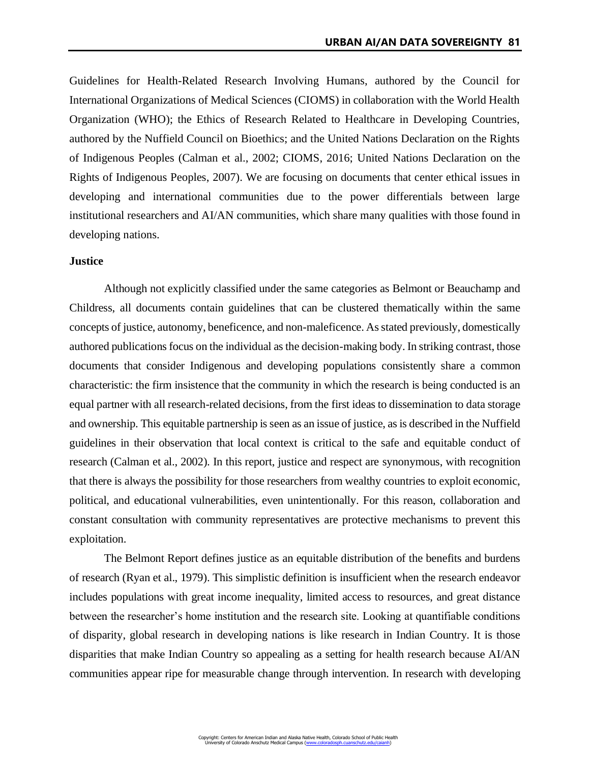Guidelines for Health-Related Research Involving Humans, authored by the Council for International Organizations of Medical Sciences (CIOMS) in collaboration with the World Health Organization (WHO); the Ethics of Research Related to Healthcare in Developing Countries, authored by the Nuffield Council on Bioethics; and the United Nations Declaration on the Rights of Indigenous Peoples (Calman et al., 2002; CIOMS, 2016; United Nations Declaration on the Rights of Indigenous Peoples, 2007). We are focusing on documents that center ethical issues in developing and international communities due to the power differentials between large institutional researchers and AI/AN communities, which share many qualities with those found in developing nations.

## **Justice**

Although not explicitly classified under the same categories as Belmont or Beauchamp and Childress, all documents contain guidelines that can be clustered thematically within the same concepts of justice, autonomy, beneficence, and non-maleficence. As stated previously, domestically authored publications focus on the individual as the decision-making body. In striking contrast, those documents that consider Indigenous and developing populations consistently share a common characteristic: the firm insistence that the community in which the research is being conducted is an equal partner with all research-related decisions, from the first ideas to dissemination to data storage and ownership. This equitable partnership is seen as an issue of justice, as is described in the Nuffield guidelines in their observation that local context is critical to the safe and equitable conduct of research (Calman et al., 2002). In this report, justice and respect are synonymous, with recognition that there is always the possibility for those researchers from wealthy countries to exploit economic, political, and educational vulnerabilities, even unintentionally. For this reason, collaboration and constant consultation with community representatives are protective mechanisms to prevent this exploitation.

The Belmont Report defines justice as an equitable distribution of the benefits and burdens of research (Ryan et al., 1979). This simplistic definition is insufficient when the research endeavor includes populations with great income inequality, limited access to resources, and great distance between the researcher's home institution and the research site. Looking at quantifiable conditions of disparity, global research in developing nations is like research in Indian Country. It is those disparities that make Indian Country so appealing as a setting for health research because AI/AN communities appear ripe for measurable change through intervention. In research with developing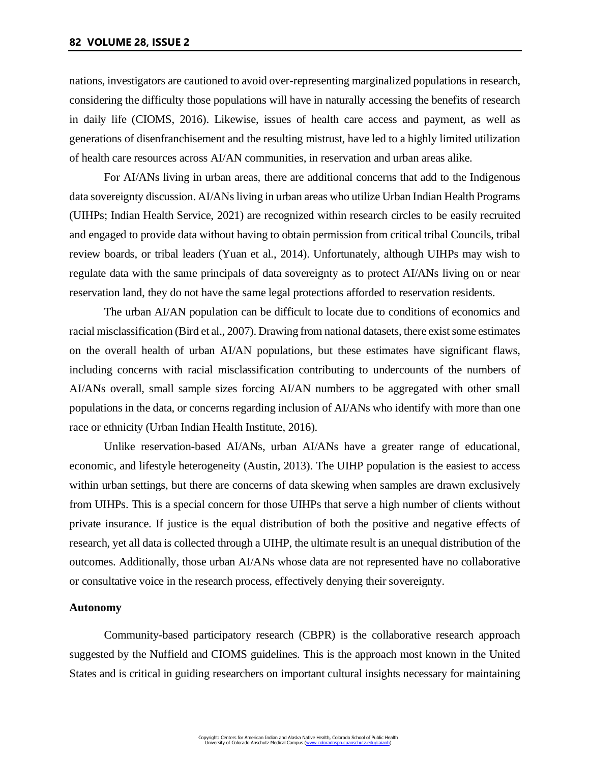nations, investigators are cautioned to avoid over-representing marginalized populations in research, considering the difficulty those populations will have in naturally accessing the benefits of research in daily life (CIOMS, 2016). Likewise, issues of health care access and payment, as well as generations of disenfranchisement and the resulting mistrust, have led to a highly limited utilization of health care resources across AI/AN communities, in reservation and urban areas alike.

For AI/ANs living in urban areas, there are additional concerns that add to the Indigenous data sovereignty discussion. AI/ANs living in urban areas who utilize Urban Indian Health Programs (UIHPs; Indian Health Service, 2021) are recognized within research circles to be easily recruited and engaged to provide data without having to obtain permission from critical tribal Councils, tribal review boards, or tribal leaders (Yuan et al., 2014). Unfortunately, although UIHPs may wish to regulate data with the same principals of data sovereignty as to protect AI/ANs living on or near reservation land, they do not have the same legal protections afforded to reservation residents.

The urban AI/AN population can be difficult to locate due to conditions of economics and racial misclassification (Bird et al., 2007). Drawing from national datasets, there exist some estimates on the overall health of urban AI/AN populations, but these estimates have significant flaws, including concerns with racial misclassification contributing to undercounts of the numbers of AI/ANs overall, small sample sizes forcing AI/AN numbers to be aggregated with other small populations in the data, or concerns regarding inclusion of AI/ANs who identify with more than one race or ethnicity (Urban Indian Health Institute, 2016).

Unlike reservation-based AI/ANs, urban AI/ANs have a greater range of educational, economic, and lifestyle heterogeneity (Austin, 2013). The UIHP population is the easiest to access within urban settings, but there are concerns of data skewing when samples are drawn exclusively from UIHPs. This is a special concern for those UIHPs that serve a high number of clients without private insurance. If justice is the equal distribution of both the positive and negative effects of research, yet all data is collected through a UIHP, the ultimate result is an unequal distribution of the outcomes. Additionally, those urban AI/ANs whose data are not represented have no collaborative or consultative voice in the research process, effectively denying their sovereignty.

#### **Autonomy**

Community-based participatory research (CBPR) is the collaborative research approach suggested by the Nuffield and CIOMS guidelines. This is the approach most known in the United States and is critical in guiding researchers on important cultural insights necessary for maintaining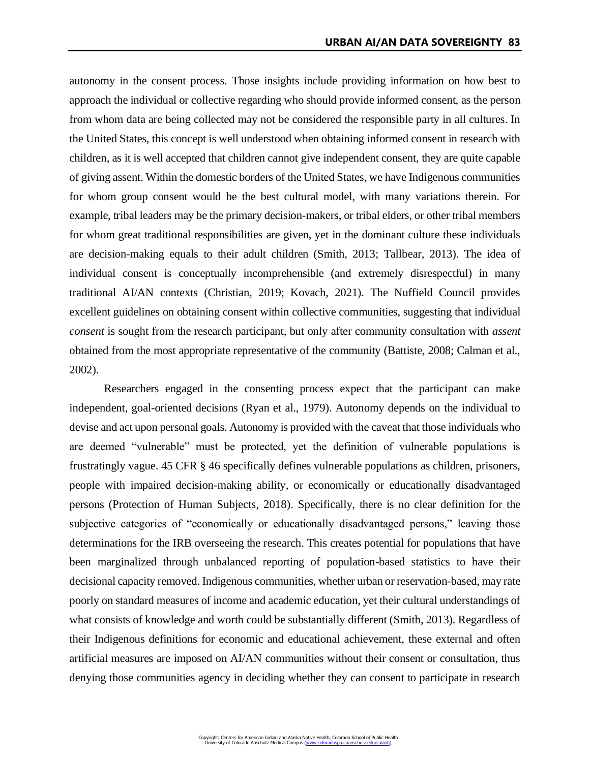autonomy in the consent process. Those insights include providing information on how best to approach the individual or collective regarding who should provide informed consent, as the person from whom data are being collected may not be considered the responsible party in all cultures. In the United States, this concept is well understood when obtaining informed consent in research with children, as it is well accepted that children cannot give independent consent, they are quite capable of giving assent. Within the domestic borders of the United States, we have Indigenous communities for whom group consent would be the best cultural model, with many variations therein. For example, tribal leaders may be the primary decision-makers, or tribal elders, or other tribal members for whom great traditional responsibilities are given, yet in the dominant culture these individuals are decision-making equals to their adult children (Smith, 2013; Tallbear, 2013). The idea of individual consent is conceptually incomprehensible (and extremely disrespectful) in many traditional AI/AN contexts (Christian, 2019; Kovach, 2021). The Nuffield Council provides excellent guidelines on obtaining consent within collective communities, suggesting that individual *consent* is sought from the research participant, but only after community consultation with *assent* obtained from the most appropriate representative of the community (Battiste, 2008; Calman et al., 2002).

Researchers engaged in the consenting process expect that the participant can make independent, goal-oriented decisions (Ryan et al., 1979). Autonomy depends on the individual to devise and act upon personal goals. Autonomy is provided with the caveat that those individuals who are deemed "vulnerable" must be protected, yet the definition of vulnerable populations is frustratingly vague. 45 CFR § 46 specifically defines vulnerable populations as children, prisoners, people with impaired decision-making ability, or economically or educationally disadvantaged persons (Protection of Human Subjects, 2018). Specifically, there is no clear definition for the subjective categories of "economically or educationally disadvantaged persons," leaving those determinations for the IRB overseeing the research. This creates potential for populations that have been marginalized through unbalanced reporting of population-based statistics to have their decisional capacity removed. Indigenous communities, whether urban or reservation-based, may rate poorly on standard measures of income and academic education, yet their cultural understandings of what consists of knowledge and worth could be substantially different (Smith, 2013). Regardless of their Indigenous definitions for economic and educational achievement, these external and often artificial measures are imposed on AI/AN communities without their consent or consultation, thus denying those communities agency in deciding whether they can consent to participate in research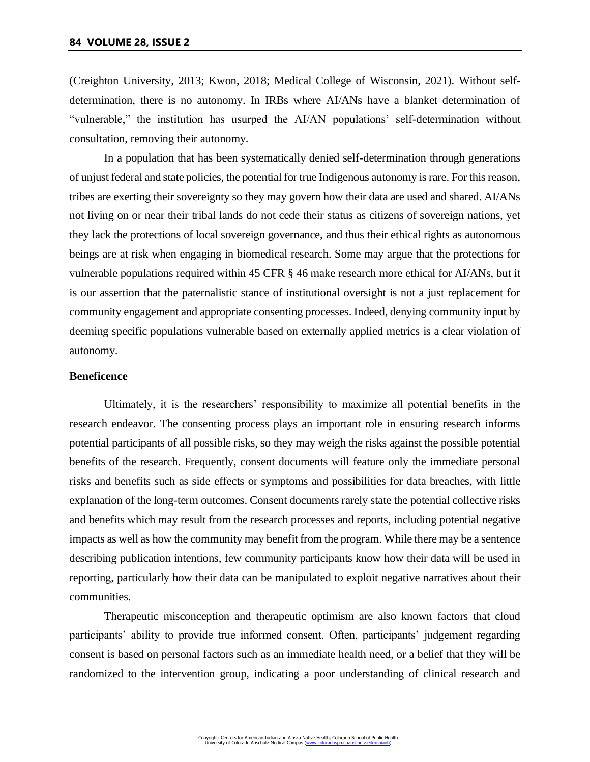(Creighton University, 2013; Kwon, 2018; Medical College of Wisconsin, 2021). Without selfdetermination, there is no autonomy. In IRBs where AI/ANs have a blanket determination of "vulnerable," the institution has usurped the AI/AN populations' self-determination without consultation, removing their autonomy.

In a population that has been systematically denied self-determination through generations of unjust federal and state policies, the potential for true Indigenous autonomy is rare. For this reason, tribes are exerting their sovereignty so they may govern how their data are used and shared. AI/ANs not living on or near their tribal lands do not cede their status as citizens of sovereign nations, yet they lack the protections of local sovereign governance, and thus their ethical rights as autonomous beings are at risk when engaging in biomedical research. Some may argue that the protections for vulnerable populations required within 45 CFR § 46 make research more ethical for AI/ANs, but it is our assertion that the paternalistic stance of institutional oversight is not a just replacement for community engagement and appropriate consenting processes. Indeed, denying community input by deeming specific populations vulnerable based on externally applied metrics is a clear violation of autonomy.

## **Beneficence**

Ultimately, it is the researchers' responsibility to maximize all potential benefits in the research endeavor. The consenting process plays an important role in ensuring research informs potential participants of all possible risks, so they may weigh the risks against the possible potential benefits of the research. Frequently, consent documents will feature only the immediate personal risks and benefits such as side effects or symptoms and possibilities for data breaches, with little explanation of the long-term outcomes. Consent documents rarely state the potential collective risks and benefits which may result from the research processes and reports, including potential negative impacts as well as how the community may benefit from the program. While there may be a sentence describing publication intentions, few community participants know how their data will be used in reporting, particularly how their data can be manipulated to exploit negative narratives about their communities.

Therapeutic misconception and therapeutic optimism are also known factors that cloud participants' ability to provide true informed consent. Often, participants' judgement regarding consent is based on personal factors such as an immediate health need, or a belief that they will be randomized to the intervention group, indicating a poor understanding of clinical research and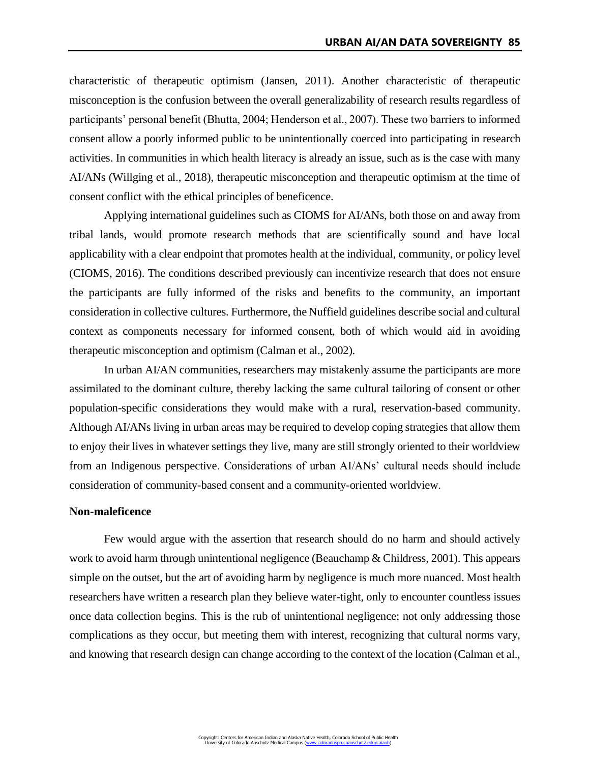characteristic of therapeutic optimism (Jansen, 2011). Another characteristic of therapeutic misconception is the confusion between the overall generalizability of research results regardless of participants' personal benefit (Bhutta, 2004; Henderson et al., 2007). These two barriers to informed consent allow a poorly informed public to be unintentionally coerced into participating in research activities. In communities in which health literacy is already an issue, such as is the case with many AI/ANs (Willging et al., 2018), therapeutic misconception and therapeutic optimism at the time of consent conflict with the ethical principles of beneficence.

Applying international guidelines such as CIOMS for AI/ANs, both those on and away from tribal lands, would promote research methods that are scientifically sound and have local applicability with a clear endpoint that promotes health at the individual, community, or policy level (CIOMS, 2016). The conditions described previously can incentivize research that does not ensure the participants are fully informed of the risks and benefits to the community, an important consideration in collective cultures. Furthermore, the Nuffield guidelines describe social and cultural context as components necessary for informed consent, both of which would aid in avoiding therapeutic misconception and optimism (Calman et al., 2002).

In urban AI/AN communities, researchers may mistakenly assume the participants are more assimilated to the dominant culture, thereby lacking the same cultural tailoring of consent or other population-specific considerations they would make with a rural, reservation-based community. Although AI/ANs living in urban areas may be required to develop coping strategies that allow them to enjoy their lives in whatever settings they live, many are still strongly oriented to their worldview from an Indigenous perspective. Considerations of urban AI/ANs' cultural needs should include consideration of community-based consent and a community-oriented worldview.

#### **Non-maleficence**

Few would argue with the assertion that research should do no harm and should actively work to avoid harm through unintentional negligence (Beauchamp & Childress, 2001). This appears simple on the outset, but the art of avoiding harm by negligence is much more nuanced. Most health researchers have written a research plan they believe water-tight, only to encounter countless issues once data collection begins. This is the rub of unintentional negligence; not only addressing those complications as they occur, but meeting them with interest, recognizing that cultural norms vary, and knowing that research design can change according to the context of the location (Calman et al.,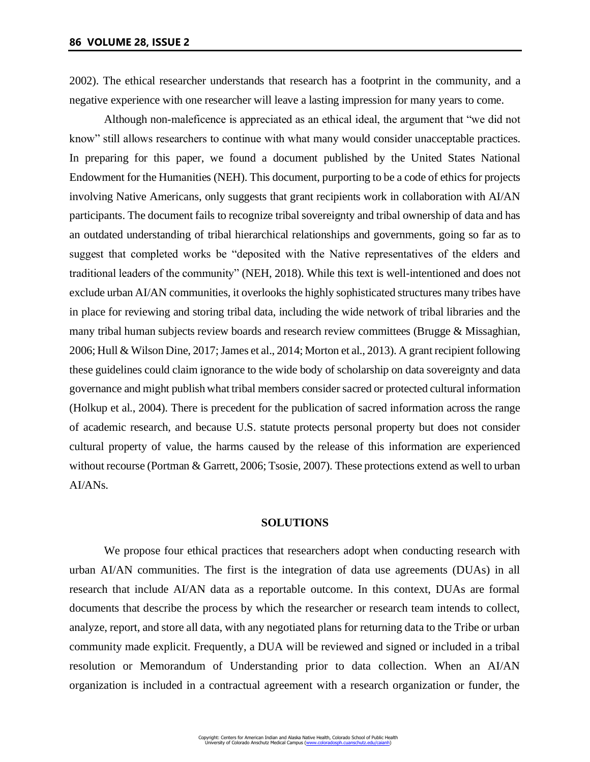2002). The ethical researcher understands that research has a footprint in the community, and a negative experience with one researcher will leave a lasting impression for many years to come.

Although non-maleficence is appreciated as an ethical ideal, the argument that "we did not know" still allows researchers to continue with what many would consider unacceptable practices. In preparing for this paper, we found a document published by the United States National Endowment for the Humanities (NEH). This document, purporting to be a code of ethics for projects involving Native Americans, only suggests that grant recipients work in collaboration with AI/AN participants. The document fails to recognize tribal sovereignty and tribal ownership of data and has an outdated understanding of tribal hierarchical relationships and governments, going so far as to suggest that completed works be "deposited with the Native representatives of the elders and traditional leaders of the community" (NEH, 2018). While this text is well-intentioned and does not exclude urban AI/AN communities, it overlooks the highly sophisticated structures many tribes have in place for reviewing and storing tribal data, including the wide network of tribal libraries and the many tribal human subjects review boards and research review committees (Brugge & Missaghian, 2006; Hull & Wilson Dine, 2017; James et al., 2014; Morton et al., 2013). A grant recipient following these guidelines could claim ignorance to the wide body of scholarship on data sovereignty and data governance and might publish what tribal members consider sacred or protected cultural information (Holkup et al., 2004). There is precedent for the publication of sacred information across the range of academic research, and because U.S. statute protects personal property but does not consider cultural property of value, the harms caused by the release of this information are experienced without recourse (Portman & Garrett, 2006; Tsosie, 2007). These protections extend as well to urban AI/ANs.

#### **SOLUTIONS**

We propose four ethical practices that researchers adopt when conducting research with urban AI/AN communities. The first is the integration of data use agreements (DUAs) in all research that include AI/AN data as a reportable outcome. In this context, DUAs are formal documents that describe the process by which the researcher or research team intends to collect, analyze, report, and store all data, with any negotiated plans for returning data to the Tribe or urban community made explicit. Frequently, a DUA will be reviewed and signed or included in a tribal resolution or Memorandum of Understanding prior to data collection. When an AI/AN organization is included in a contractual agreement with a research organization or funder, the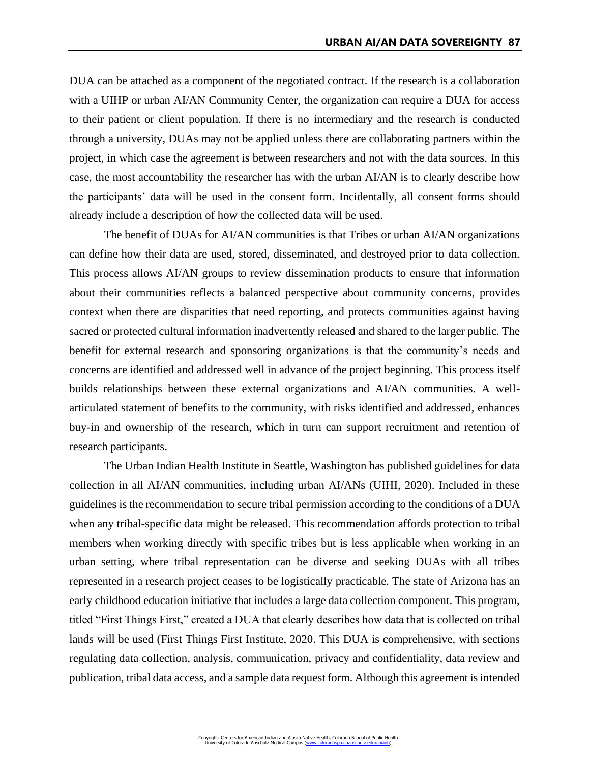DUA can be attached as a component of the negotiated contract. If the research is a collaboration with a UIHP or urban AI/AN Community Center, the organization can require a DUA for access to their patient or client population. If there is no intermediary and the research is conducted through a university, DUAs may not be applied unless there are collaborating partners within the project, in which case the agreement is between researchers and not with the data sources. In this case, the most accountability the researcher has with the urban AI/AN is to clearly describe how the participants' data will be used in the consent form. Incidentally, all consent forms should already include a description of how the collected data will be used.

The benefit of DUAs for AI/AN communities is that Tribes or urban AI/AN organizations can define how their data are used, stored, disseminated, and destroyed prior to data collection. This process allows AI/AN groups to review dissemination products to ensure that information about their communities reflects a balanced perspective about community concerns, provides context when there are disparities that need reporting, and protects communities against having sacred or protected cultural information inadvertently released and shared to the larger public. The benefit for external research and sponsoring organizations is that the community's needs and concerns are identified and addressed well in advance of the project beginning. This process itself builds relationships between these external organizations and AI/AN communities. A wellarticulated statement of benefits to the community, with risks identified and addressed, enhances buy-in and ownership of the research, which in turn can support recruitment and retention of research participants.

The Urban Indian Health Institute in Seattle, Washington has published guidelines for data collection in all AI/AN communities, including urban AI/ANs (UIHI, 2020). Included in these guidelines is the recommendation to secure tribal permission according to the conditions of a DUA when any tribal-specific data might be released. This recommendation affords protection to tribal members when working directly with specific tribes but is less applicable when working in an urban setting, where tribal representation can be diverse and seeking DUAs with all tribes represented in a research project ceases to be logistically practicable. The state of Arizona has an early childhood education initiative that includes a large data collection component. This program, titled "First Things First," created a DUA that clearly describes how data that is collected on tribal lands will be used (First Things First Institute, 2020. This DUA is comprehensive, with sections regulating data collection, analysis, communication, privacy and confidentiality, data review and publication, tribal data access, and a sample data request form. Although this agreement is intended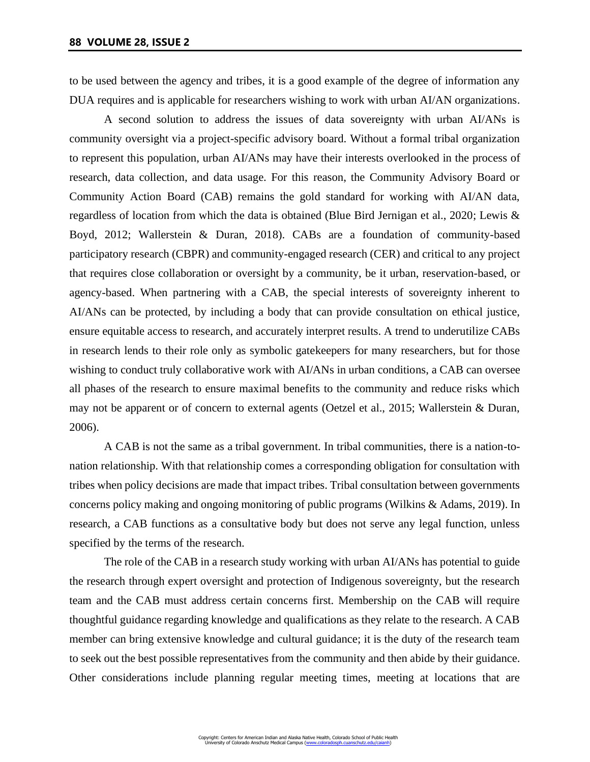to be used between the agency and tribes, it is a good example of the degree of information any DUA requires and is applicable for researchers wishing to work with urban AI/AN organizations.

A second solution to address the issues of data sovereignty with urban AI/ANs is community oversight via a project-specific advisory board. Without a formal tribal organization to represent this population, urban AI/ANs may have their interests overlooked in the process of research, data collection, and data usage. For this reason, the Community Advisory Board or Community Action Board (CAB) remains the gold standard for working with AI/AN data, regardless of location from which the data is obtained (Blue Bird Jernigan et al., 2020; Lewis & Boyd, 2012; Wallerstein & Duran, 2018). CABs are a foundation of community-based participatory research (CBPR) and community-engaged research (CER) and critical to any project that requires close collaboration or oversight by a community, be it urban, reservation-based, or agency-based. When partnering with a CAB, the special interests of sovereignty inherent to AI/ANs can be protected, by including a body that can provide consultation on ethical justice, ensure equitable access to research, and accurately interpret results. A trend to underutilize CABs in research lends to their role only as symbolic gatekeepers for many researchers, but for those wishing to conduct truly collaborative work with AI/ANs in urban conditions, a CAB can oversee all phases of the research to ensure maximal benefits to the community and reduce risks which may not be apparent or of concern to external agents (Oetzel et al., 2015; Wallerstein & Duran, 2006).

A CAB is not the same as a tribal government. In tribal communities, there is a nation-tonation relationship. With that relationship comes a corresponding obligation for consultation with tribes when policy decisions are made that impact tribes. Tribal consultation between governments concerns policy making and ongoing monitoring of public programs (Wilkins & Adams, 2019). In research, a CAB functions as a consultative body but does not serve any legal function, unless specified by the terms of the research.

The role of the CAB in a research study working with urban AI/ANs has potential to guide the research through expert oversight and protection of Indigenous sovereignty, but the research team and the CAB must address certain concerns first. Membership on the CAB will require thoughtful guidance regarding knowledge and qualifications as they relate to the research. A CAB member can bring extensive knowledge and cultural guidance; it is the duty of the research team to seek out the best possible representatives from the community and then abide by their guidance. Other considerations include planning regular meeting times, meeting at locations that are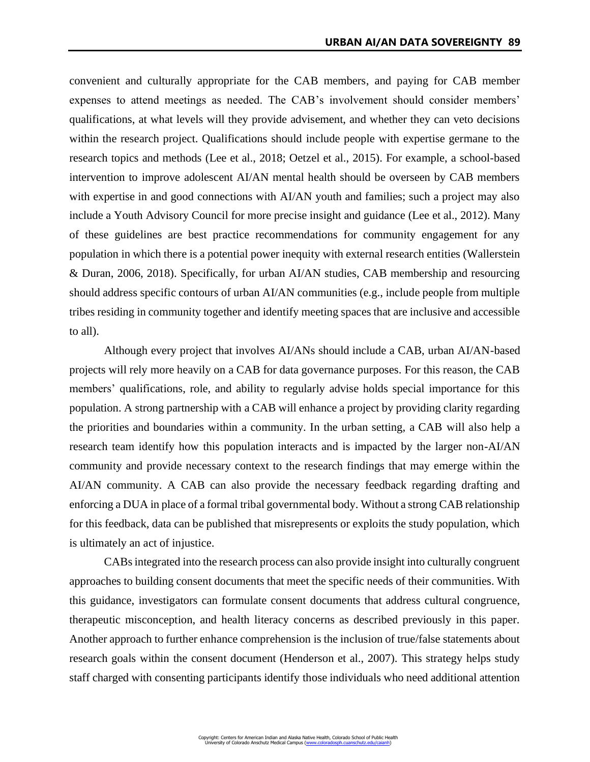convenient and culturally appropriate for the CAB members, and paying for CAB member expenses to attend meetings as needed. The CAB's involvement should consider members' qualifications, at what levels will they provide advisement, and whether they can veto decisions within the research project. Qualifications should include people with expertise germane to the research topics and methods (Lee et al., 2018; Oetzel et al., 2015). For example, a school-based intervention to improve adolescent AI/AN mental health should be overseen by CAB members with expertise in and good connections with AI/AN youth and families; such a project may also include a Youth Advisory Council for more precise insight and guidance (Lee et al., 2012). Many of these guidelines are best practice recommendations for community engagement for any population in which there is a potential power inequity with external research entities (Wallerstein & Duran, 2006, 2018). Specifically, for urban AI/AN studies, CAB membership and resourcing should address specific contours of urban AI/AN communities (e.g., include people from multiple tribes residing in community together and identify meeting spaces that are inclusive and accessible to all).

Although every project that involves AI/ANs should include a CAB, urban AI/AN-based projects will rely more heavily on a CAB for data governance purposes. For this reason, the CAB members' qualifications, role, and ability to regularly advise holds special importance for this population. A strong partnership with a CAB will enhance a project by providing clarity regarding the priorities and boundaries within a community. In the urban setting, a CAB will also help a research team identify how this population interacts and is impacted by the larger non-AI/AN community and provide necessary context to the research findings that may emerge within the AI/AN community. A CAB can also provide the necessary feedback regarding drafting and enforcing a DUA in place of a formal tribal governmental body. Without a strong CAB relationship for this feedback, data can be published that misrepresents or exploits the study population, which is ultimately an act of injustice.

CABs integrated into the research process can also provide insight into culturally congruent approaches to building consent documents that meet the specific needs of their communities. With this guidance, investigators can formulate consent documents that address cultural congruence, therapeutic misconception, and health literacy concerns as described previously in this paper. Another approach to further enhance comprehension is the inclusion of true/false statements about research goals within the consent document (Henderson et al., 2007). This strategy helps study staff charged with consenting participants identify those individuals who need additional attention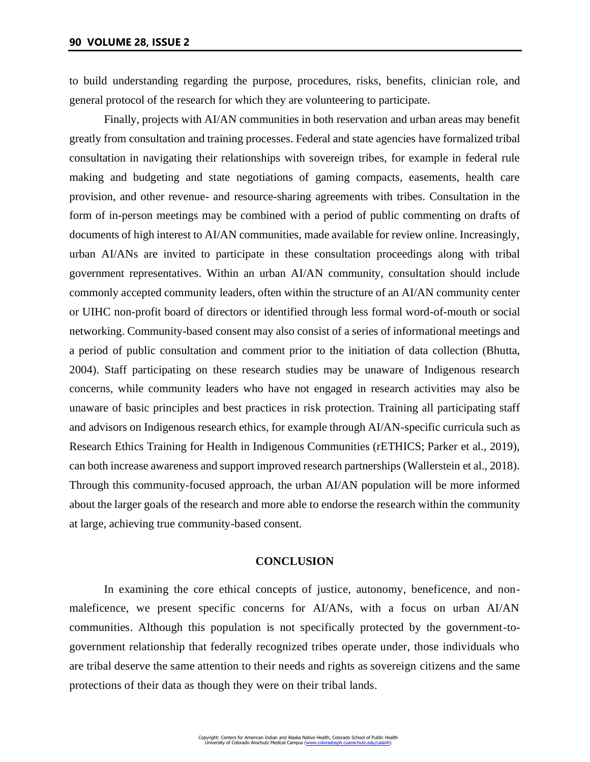to build understanding regarding the purpose, procedures, risks, benefits, clinician role, and general protocol of the research for which they are volunteering to participate.

Finally, projects with AI/AN communities in both reservation and urban areas may benefit greatly from consultation and training processes. Federal and state agencies have formalized tribal consultation in navigating their relationships with sovereign tribes, for example in federal rule making and budgeting and state negotiations of gaming compacts, easements, health care provision, and other revenue- and resource-sharing agreements with tribes. Consultation in the form of in-person meetings may be combined with a period of public commenting on drafts of documents of high interest to AI/AN communities, made available for review online. Increasingly, urban AI/ANs are invited to participate in these consultation proceedings along with tribal government representatives. Within an urban AI/AN community, consultation should include commonly accepted community leaders, often within the structure of an AI/AN community center or UIHC non-profit board of directors or identified through less formal word-of-mouth or social networking. Community-based consent may also consist of a series of informational meetings and a period of public consultation and comment prior to the initiation of data collection (Bhutta, 2004). Staff participating on these research studies may be unaware of Indigenous research concerns, while community leaders who have not engaged in research activities may also be unaware of basic principles and best practices in risk protection. Training all participating staff and advisors on Indigenous research ethics, for example through AI/AN-specific curricula such as Research Ethics Training for Health in Indigenous Communities (rETHICS; Parker et al., 2019), can both increase awareness and support improved research partnerships (Wallerstein et al., 2018). Through this community-focused approach, the urban AI/AN population will be more informed about the larger goals of the research and more able to endorse the research within the community at large, achieving true community-based consent.

## **CONCLUSION**

In examining the core ethical concepts of justice, autonomy, beneficence, and nonmaleficence, we present specific concerns for AI/ANs, with a focus on urban AI/AN communities. Although this population is not specifically protected by the government-togovernment relationship that federally recognized tribes operate under, those individuals who are tribal deserve the same attention to their needs and rights as sovereign citizens and the same protections of their data as though they were on their tribal lands.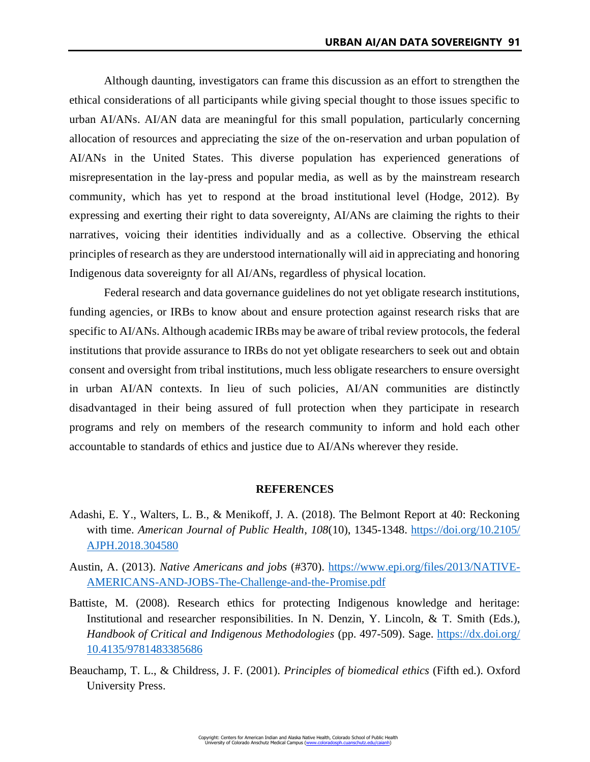Although daunting, investigators can frame this discussion as an effort to strengthen the ethical considerations of all participants while giving special thought to those issues specific to urban AI/ANs. AI/AN data are meaningful for this small population, particularly concerning allocation of resources and appreciating the size of the on-reservation and urban population of AI/ANs in the United States. This diverse population has experienced generations of misrepresentation in the lay-press and popular media, as well as by the mainstream research community, which has yet to respond at the broad institutional level (Hodge, 2012). By expressing and exerting their right to data sovereignty, AI/ANs are claiming the rights to their narratives, voicing their identities individually and as a collective. Observing the ethical principles of research as they are understood internationally will aid in appreciating and honoring Indigenous data sovereignty for all AI/ANs, regardless of physical location.

Federal research and data governance guidelines do not yet obligate research institutions, funding agencies, or IRBs to know about and ensure protection against research risks that are specific to AI/ANs. Although academic IRBs may be aware of tribal review protocols, the federal institutions that provide assurance to IRBs do not yet obligate researchers to seek out and obtain consent and oversight from tribal institutions, much less obligate researchers to ensure oversight in urban AI/AN contexts. In lieu of such policies, AI/AN communities are distinctly disadvantaged in their being assured of full protection when they participate in research programs and rely on members of the research community to inform and hold each other accountable to standards of ethics and justice due to AI/ANs wherever they reside.

# **REFERENCES**

- Adashi, E. Y., Walters, L. B., & Menikoff, J. A. (2018). The Belmont Report at 40: Reckoning with time. *American Journal of Public Health*, *108*(10), 1345-1348. [https://doi.org/10.2105/](https://doi.org/10.2105/AJPH.2018.304580) [AJPH.2018.304580](https://doi.org/10.2105/AJPH.2018.304580)
- Austin, A. (2013). *Native Americans and jobs* (#370). [https://www.epi.org/files/2013/NATIVE-](https://www.epi.org/files/2013/NATIVE-AMERICANS-AND-JOBS-The-Challenge-and-the-Promise.pdf)[AMERICANS-AND-JOBS-The-Challenge-and-the-Promise.pdf](https://www.epi.org/files/2013/NATIVE-AMERICANS-AND-JOBS-The-Challenge-and-the-Promise.pdf)
- Battiste, M. (2008). Research ethics for protecting Indigenous knowledge and heritage: Institutional and researcher responsibilities. In N. Denzin, Y. Lincoln, & T. Smith (Eds.), *Handbook of Critical and Indigenous Methodologies* (pp. 497-509). Sage. [https://dx.doi.org/](https://dx.doi.org/10.4135/9781483385686) [10.4135/9781483385686](https://dx.doi.org/10.4135/9781483385686)
- Beauchamp, T. L., & Childress, J. F. (2001). *Principles of biomedical ethics* (Fifth ed.). Oxford University Press.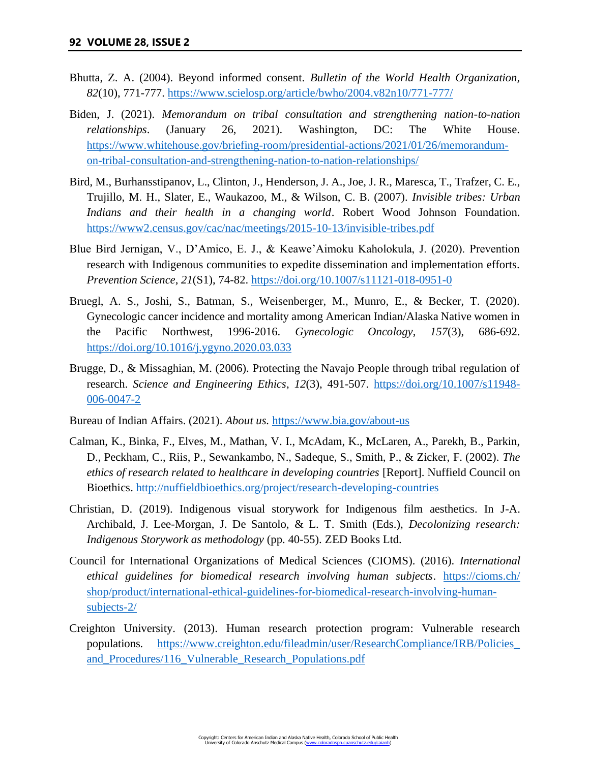- Bhutta, Z. A. (2004). Beyond informed consent. *Bulletin of the World Health Organization, 82*(10), 771-777.<https://www.scielosp.org/article/bwho/2004.v82n10/771-777/>
- Biden, J. (2021). *Memorandum on tribal consultation and strengthening nation-to-nation relationships*. (January 26, 2021). Washington, DC: The White House. [https://www.whitehouse.gov/briefing-room/presidential-actions/2021/01/26/memorandum](https://www.whitehouse.gov/briefing-room/presidential-actions/2021/01/26/memorandum-on-tribal-consultation-and-strengthening-nation-to-nation-relationships/)[on-tribal-consultation-and-strengthening-nation-to-nation-relationships/](https://www.whitehouse.gov/briefing-room/presidential-actions/2021/01/26/memorandum-on-tribal-consultation-and-strengthening-nation-to-nation-relationships/)
- Bird, M., Burhansstipanov, L., Clinton, J., Henderson, J. A., Joe, J. R., Maresca, T., Trafzer, C. E., Trujillo, M. H., Slater, E., Waukazoo, M., & Wilson, C. B. (2007). *Invisible tribes: Urban Indians and their health in a changing world*. Robert Wood Johnson Foundation. <https://www2.census.gov/cac/nac/meetings/2015-10-13/invisible-tribes.pdf>
- Blue Bird Jernigan, V., D'Amico, E. J., & Keawe'Aimoku Kaholokula, J. (2020). Prevention research with Indigenous communities to expedite dissemination and implementation efforts. *Prevention Science*, *21*(S1), 74-82.<https://doi.org/10.1007/s11121-018-0951-0>
- Bruegl, A. S., Joshi, S., Batman, S., Weisenberger, M., Munro, E., & Becker, T. (2020). Gynecologic cancer incidence and mortality among American Indian/Alaska Native women in the Pacific Northwest, 1996-2016. *Gynecologic Oncology*, *157*(3), 686-692. <https://doi.org/10.1016/j.ygyno.2020.03.033>
- Brugge, D., & Missaghian, M. (2006). Protecting the Navajo People through tribal regulation of research. *Science and Engineering Ethics*, *12*(3), 491-507. [https://doi.org/10.1007/s11948-](https://doi.org/10.1007/s11948-006-0047-2) [006-0047-2](https://doi.org/10.1007/s11948-006-0047-2)
- Bureau of Indian Affairs. (2021). *About us.* <https://www.bia.gov/about-us>
- Calman, K., Binka, F., Elves, M., Mathan, V. I., McAdam, K., McLaren, A., Parekh, B., Parkin, D., Peckham, C., Riis, P., Sewankambo, N., Sadeque, S., Smith, P., & Zicker, F. (2002). *The ethics of research related to healthcare in developing countries* [Report]. Nuffield Council on Bioethics.<http://nuffieldbioethics.org/project/research-developing-countries>
- Christian, D. (2019). Indigenous visual storywork for Indigenous film aesthetics. In J-A. Archibald, J. Lee-Morgan, J. De Santolo, & L. T. Smith (Eds.), *Decolonizing research: Indigenous Storywork as methodology* (pp. 40-55). ZED Books Ltd.
- Council for International Organizations of Medical Sciences (CIOMS). (2016). *International ethical guidelines for biomedical research involving human subjects*. [https://cioms.ch/](https://cioms.ch/shop/product/international-ethical-guidelines-for-biomedical-research-involving-human-subjects-2/) [shop/product/international-ethical-guidelines-for-biomedical-research-involving-human](https://cioms.ch/shop/product/international-ethical-guidelines-for-biomedical-research-involving-human-subjects-2/)[subjects-2/](https://cioms.ch/shop/product/international-ethical-guidelines-for-biomedical-research-involving-human-subjects-2/)
- Creighton University. (2013). Human research protection program: Vulnerable research populations*.* [https://www.creighton.edu/fileadmin/user/ResearchCompliance/IRB/Policies\\_](https://www.creighton.edu/fileadmin/user/ResearchCompliance/IRB/Policies_and_Procedures/116_Vulnerable_Research_Populations.pdf) [and\\_Procedures/116\\_Vulnerable\\_Research\\_Populations.pdf](https://www.creighton.edu/fileadmin/user/ResearchCompliance/IRB/Policies_and_Procedures/116_Vulnerable_Research_Populations.pdf)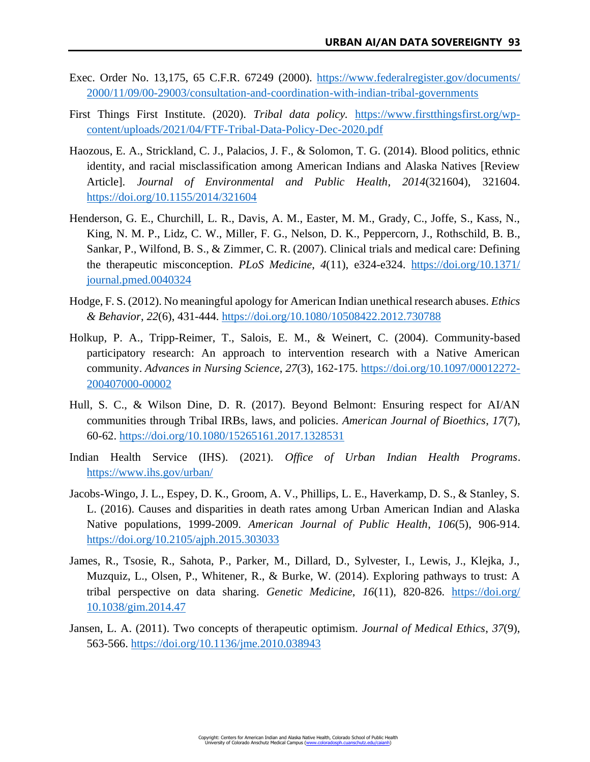- Exec. Order No. 13,175, 65 C.F.R. 67249 (2000). [https://www.federalregister.gov/documents/](https://www.federalregister.gov/documents/2000/11/09/00-29003/consultation-and-coordination-with-indian-tribal-governments) [2000/11/09/00-29003/consultation-and-coordination-with-indian-tribal-governments](https://www.federalregister.gov/documents/2000/11/09/00-29003/consultation-and-coordination-with-indian-tribal-governments)
- First Things First Institute. (2020). *Tribal data policy.* [https://www.firstthingsfirst.org/wp](https://www.firstthingsfirst.org/wp-content/uploads/2021/04/FTF-Tribal-Data-Policy-Dec-2020.pdf)[content/uploads/2021/04/FTF-Tribal-Data-Policy-Dec-2020.pdf](https://www.firstthingsfirst.org/wp-content/uploads/2021/04/FTF-Tribal-Data-Policy-Dec-2020.pdf)
- Haozous, E. A., Strickland, C. J., Palacios, J. F., & Solomon, T. G. (2014). Blood politics, ethnic identity, and racial misclassification among American Indians and Alaska Natives [Review Article]. *Journal of Environmental and Public Health*, *2014*(321604), 321604. <https://doi.org/10.1155/2014/321604>
- Henderson, G. E., Churchill, L. R., Davis, A. M., Easter, M. M., Grady, C., Joffe, S., Kass, N., King, N. M. P., Lidz, C. W., Miller, F. G., Nelson, D. K., Peppercorn, J., Rothschild, B. B., Sankar, P., Wilfond, B. S., & Zimmer, C. R. (2007). Clinical trials and medical care: Defining the therapeutic misconception. *PLoS Medicine*, *4*(11), e324-e324. [https://doi.org/10.1371/](https://doi.org/10.1371/journal.pmed.0040324) [journal.pmed.0040324](https://doi.org/10.1371/journal.pmed.0040324)
- Hodge, F. S. (2012). No meaningful apology for American Indian unethical research abuses. *Ethics & Behavior*, *22*(6), 431-444.<https://doi.org/10.1080/10508422.2012.730788>
- Holkup, P. A., Tripp-Reimer, T., Salois, E. M., & Weinert, C. (2004). Community-based participatory research: An approach to intervention research with a Native American community. *Advances in Nursing Science*, *27*(3), 162-175. [https://doi.org/10.1097/00012272-](https://doi.org/10.1097/00012272-200407000-00002) [200407000-00002](https://doi.org/10.1097/00012272-200407000-00002)
- Hull, S. C., & Wilson Dine, D. R. (2017). Beyond Belmont: Ensuring respect for AI/AN communities through Tribal IRBs, laws, and policies. *American Journal of Bioethics*, *17*(7), 60-62.<https://doi.org/10.1080/15265161.2017.1328531>
- Indian Health Service (IHS). (2021). *Office of Urban Indian Health Programs*. <https://www.ihs.gov/urban/>
- Jacobs-Wingo, J. L., Espey, D. K., Groom, A. V., Phillips, L. E., Haverkamp, D. S., & Stanley, S. L. (2016). Causes and disparities in death rates among Urban American Indian and Alaska Native populations, 1999-2009. *American Journal of Public Health*, *106*(5), 906-914. <https://doi.org/10.2105/ajph.2015.303033>
- James, R., Tsosie, R., Sahota, P., Parker, M., Dillard, D., Sylvester, I., Lewis, J., Klejka, J., Muzquiz, L., Olsen, P., Whitener, R., & Burke, W. (2014). Exploring pathways to trust: A tribal perspective on data sharing. *Genetic Medicine*, *16*(11), 820-826. [https://doi.org/](https://doi.org/10.1038/gim.2014.47) [10.1038/gim.2014.47](https://doi.org/10.1038/gim.2014.47)
- Jansen, L. A. (2011). Two concepts of therapeutic optimism. *Journal of Medical Ethics*, *37*(9), 563-566.<https://doi.org/10.1136/jme.2010.038943>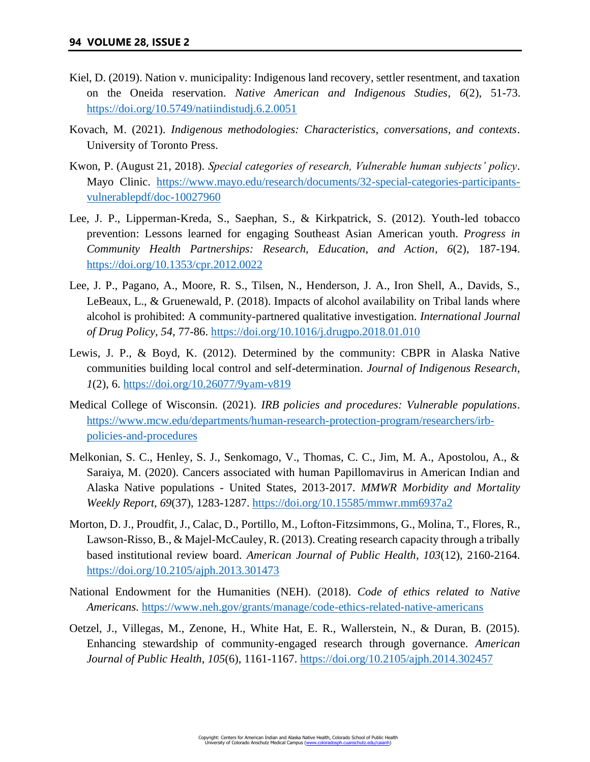- Kiel, D. (2019). Nation v. municipality: Indigenous land recovery, settler resentment, and taxation on the Oneida reservation. *Native American and Indigenous Studies*, *6*(2), 51-73. <https://doi.org/10.5749/natiindistudj.6.2.0051>
- Kovach, M. (2021). *Indigenous methodologies: Characteristics, conversations, and contexts*. University of Toronto Press.
- Kwon, P. (August 21, 2018). *Special categories of research, Vulnerable human subjects' policy*. Mayo Clinic. [https://www.mayo.edu/research/documents/32-special-categories-participants](https://www.mayo.edu/research/documents/32-special-categories-participants-vulnerablepdf/doc-10027960)[vulnerablepdf/doc-10027960](https://www.mayo.edu/research/documents/32-special-categories-participants-vulnerablepdf/doc-10027960)
- Lee, J. P., Lipperman-Kreda, S., Saephan, S., & Kirkpatrick, S. (2012). Youth-led tobacco prevention: Lessons learned for engaging Southeast Asian American youth. *Progress in Community Health Partnerships: Research, Education, and Action*, *6*(2), 187-194. <https://doi.org/10.1353/cpr.2012.0022>
- Lee, J. P., Pagano, A., Moore, R. S., Tilsen, N., Henderson, J. A., Iron Shell, A., Davids, S., LeBeaux, L., & Gruenewald, P. (2018). Impacts of alcohol availability on Tribal lands where alcohol is prohibited: A community-partnered qualitative investigation. *International Journal of Drug Policy*, *54*, 77-86.<https://doi.org/10.1016/j.drugpo.2018.01.010>
- Lewis, J. P., & Boyd, K. (2012). Determined by the community: CBPR in Alaska Native communities building local control and self-determination. *Journal of Indigenous Research*, *1*(2), 6.<https://doi.org/10.26077/9yam-v819>
- Medical College of Wisconsin. (2021). *IRB policies and procedures: Vulnerable populations*. [https://www.mcw.edu/departments/human-research-protection-program/researchers/irb](https://www.mcw.edu/departments/human-research-protection-program/researchers/irb-policies-and-procedures)[policies-and-procedures](https://www.mcw.edu/departments/human-research-protection-program/researchers/irb-policies-and-procedures)
- Melkonian, S. C., Henley, S. J., Senkomago, V., Thomas, C. C., Jim, M. A., Apostolou, A., & Saraiya, M. (2020). Cancers associated with human Papillomavirus in American Indian and Alaska Native populations - United States, 2013-2017. *MMWR Morbidity and Mortality Weekly Report*, *69*(37), 1283-1287.<https://doi.org/10.15585/mmwr.mm6937a2>
- Morton, D. J., Proudfit, J., Calac, D., Portillo, M., Lofton-Fitzsimmons, G., Molina, T., Flores, R., Lawson-Risso, B., & Majel-McCauley, R. (2013). Creating research capacity through a tribally based institutional review board. *American Journal of Public Health*, *103*(12), 2160-2164. <https://doi.org/10.2105/ajph.2013.301473>
- National Endowment for the Humanities (NEH). (2018). *Code of ethics related to Native Americans.* <https://www.neh.gov/grants/manage/code-ethics-related-native-americans>
- Oetzel, J., Villegas, M., Zenone, H., White Hat, E. R., Wallerstein, N., & Duran, B. (2015). Enhancing stewardship of community-engaged research through governance. *American Journal of Public Health*, *105*(6), 1161-1167.<https://doi.org/10.2105/ajph.2014.302457>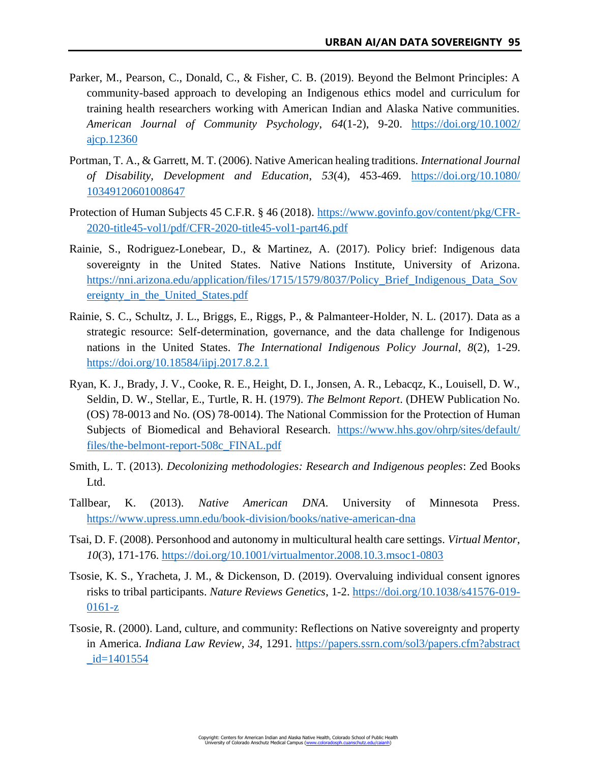- Parker, M., Pearson, C., Donald, C., & Fisher, C. B. (2019). Beyond the Belmont Principles: A community-based approach to developing an Indigenous ethics model and curriculum for training health researchers working with American Indian and Alaska Native communities. *American Journal of Community Psychology*, *64*(1-2), 9-20. [https://doi.org/10.1002/](https://doi.org/10.1002/ajcp.12360) [ajcp.12360](https://doi.org/10.1002/ajcp.12360)
- Portman, T. A., & Garrett, M. T. (2006). Native American healing traditions. *International Journal of Disability, Development and Education*, *53*(4), 453-469. [https://doi.org/10.1080/](https://doi.org/10.1080/10349120601008647) [10349120601008647](https://doi.org/10.1080/10349120601008647)
- Protection of Human Subjects 45 C.F.R. § 46 (2018). [https://www.govinfo.gov/content/pkg/CFR-](https://www.govinfo.gov/content/pkg/CFR-2020-title45-vol1/pdf/CFR-2020-title45-vol1-part46.pdf)[2020-title45-vol1/pdf/CFR-2020-title45-vol1-part46.pdf](https://www.govinfo.gov/content/pkg/CFR-2020-title45-vol1/pdf/CFR-2020-title45-vol1-part46.pdf)
- Rainie, S., Rodriguez-Lonebear, D., & Martinez, A. (2017). Policy brief: Indigenous data sovereignty in the United States. Native Nations Institute, University of Arizona. [https://nni.arizona.edu/application/files/1715/1579/8037/Policy\\_Brief\\_Indigenous\\_Data\\_Sov](https://nni.arizona.edu/application/files/1715/1579/8037/Policy_Brief_Indigenous_Data_Sovereignty_in_the_United_States.pdf) [ereignty\\_in\\_the\\_United\\_States.pdf](https://nni.arizona.edu/application/files/1715/1579/8037/Policy_Brief_Indigenous_Data_Sovereignty_in_the_United_States.pdf)
- Rainie, S. C., Schultz, J. L., Briggs, E., Riggs, P., & Palmanteer-Holder, N. L. (2017). Data as a strategic resource: Self-determination, governance, and the data challenge for Indigenous nations in the United States. *The International Indigenous Policy Journal*, *8*(2), 1-29. <https://doi.org/10.18584/iipj.2017.8.2.1>
- Ryan, K. J., Brady, J. V., Cooke, R. E., Height, D. I., Jonsen, A. R., Lebacqz, K., Louisell, D. W., Seldin, D. W., Stellar, E., Turtle, R. H. (1979). *The Belmont Report*. (DHEW Publication No. (OS) 78-0013 and No. (OS) 78-0014). The National Commission for the Protection of Human Subjects of Biomedical and Behavioral Research. [https://www.hhs.gov/ohrp/sites/default/](https://www.hhs.gov/ohrp/sites/default/files/the-belmont-report-508c_FINAL.pdf) [files/the-belmont-report-508c\\_FINAL.pdf](https://www.hhs.gov/ohrp/sites/default/files/the-belmont-report-508c_FINAL.pdf)
- Smith, L. T. (2013). *Decolonizing methodologies: Research and Indigenous peoples*: Zed Books Ltd.
- Tallbear, K. (2013). *Native American DNA*. University of Minnesota Press. <https://www.upress.umn.edu/book-division/books/native-american-dna>
- Tsai, D. F. (2008). Personhood and autonomy in multicultural health care settings. *Virtual Mentor*, *10*(3), 171-176.<https://doi.org/10.1001/virtualmentor.2008.10.3.msoc1-0803>
- Tsosie, K. S., Yracheta, J. M., & Dickenson, D. (2019). Overvaluing individual consent ignores risks to tribal participants. *Nature Reviews Genetics*, 1-2. [https://doi.org/10.1038/s41576-019-](https://doi.org/10.1038/s41576-019-0161-z) [0161-z](https://doi.org/10.1038/s41576-019-0161-z)
- Tsosie, R. (2000). Land, culture, and community: Reflections on Native sovereignty and property in America. *Indiana Law Review*, *34*, 1291. [https://papers.ssrn.com/sol3/papers.cfm?abstract](https://papers.ssrn.com/sol3/papers.cfm?abstract_id=1401554)  $id = 1401554$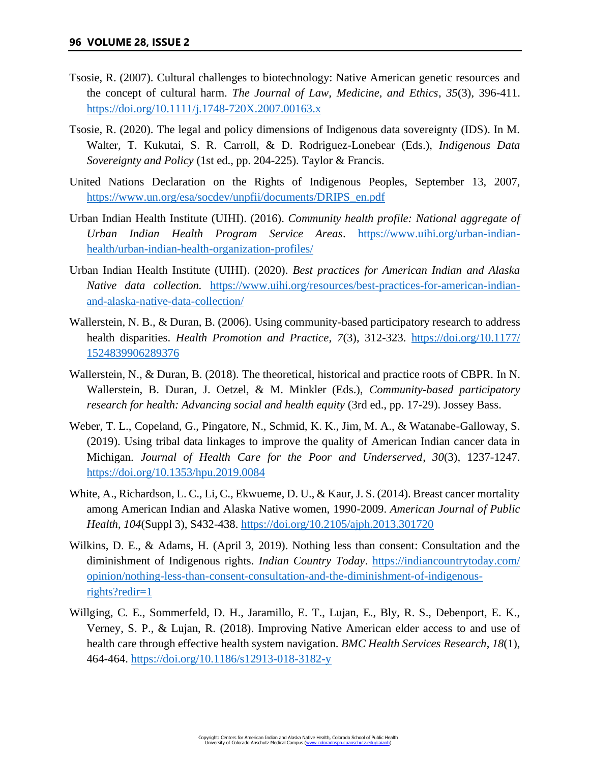- Tsosie, R. (2007). Cultural challenges to biotechnology: Native American genetic resources and the concept of cultural harm. *The Journal of Law, Medicine, and Ethics*, *35*(3), 396-411. <https://doi.org/10.1111/j.1748-720X.2007.00163.x>
- Tsosie, R. (2020). The legal and policy dimensions of Indigenous data sovereignty (IDS). In M. Walter, T. Kukutai, S. R. Carroll, & D. Rodriguez-Lonebear (Eds.), *Indigenous Data Sovereignty and Policy* (1st ed., pp. 204-225). Taylor & Francis.
- United Nations Declaration on the Rights of Indigenous Peoples, September 13, 2007, [https://www.un.org/esa/socdev/unpfii/documents/DRIPS\\_en.pdf](https://www.un.org/esa/socdev/unpfii/documents/DRIPS_en.pdf)
- Urban Indian Health Institute (UIHI). (2016). *Community health profile: National aggregate of Urban Indian Health Program Service Areas*. [https://www.uihi.org/urban-indian](https://www.uihi.org/urban-indian-health/urban-indian-health-organization-profiles/)[health/urban-indian-health-organization-profiles/](https://www.uihi.org/urban-indian-health/urban-indian-health-organization-profiles/)
- Urban Indian Health Institute (UIHI). (2020). *Best practices for American Indian and Alaska Native data collection.* [https://www.uihi.org/resources/best-practices-for-american-indian](https://www.uihi.org/resources/best-practices-for-american-indian-and-alaska-native-data-collection/)[and-alaska-native-data-collection/](https://www.uihi.org/resources/best-practices-for-american-indian-and-alaska-native-data-collection/)
- Wallerstein, N. B., & Duran, B. (2006). Using community-based participatory research to address health disparities. *Health Promotion and Practice*, *7*(3), 312-323. [https://doi.org/10.1177/](https://doi.org/10.1177/1524839906289376) [1524839906289376](https://doi.org/10.1177/1524839906289376)
- Wallerstein, N., & Duran, B. (2018). The theoretical, historical and practice roots of CBPR. In N. Wallerstein, B. Duran, J. Oetzel, & M. Minkler (Eds.), *Community-based participatory research for health: Advancing social and health equity* (3rd ed., pp. 17-29). Jossey Bass.
- Weber, T. L., Copeland, G., Pingatore, N., Schmid, K. K., Jim, M. A., & Watanabe-Galloway, S. (2019). Using tribal data linkages to improve the quality of American Indian cancer data in Michigan. *Journal of Health Care for the Poor and Underserved*, *30*(3), 1237-1247. <https://doi.org/10.1353/hpu.2019.0084>
- White, A., Richardson, L. C., Li, C., Ekwueme, D. U., & Kaur, J. S. (2014). Breast cancer mortality among American Indian and Alaska Native women, 1990-2009. *American Journal of Public Health*, *104*(Suppl 3), S432-438.<https://doi.org/10.2105/ajph.2013.301720>
- Wilkins, D. E., & Adams, H. (April 3, 2019). Nothing less than consent: Consultation and the diminishment of Indigenous rights. *Indian Country Today*. [https://indiancountrytoday.com/](https://indiancountrytoday.com/opinion/nothing-less-than-consent-consultation-and-the-diminishment-of-indigenous-rights?redir=1) [opinion/nothing-less-than-consent-consultation-and-the-diminishment-of-indigenous](https://indiancountrytoday.com/opinion/nothing-less-than-consent-consultation-and-the-diminishment-of-indigenous-rights?redir=1)[rights?redir=1](https://indiancountrytoday.com/opinion/nothing-less-than-consent-consultation-and-the-diminishment-of-indigenous-rights?redir=1)
- Willging, C. E., Sommerfeld, D. H., Jaramillo, E. T., Lujan, E., Bly, R. S., Debenport, E. K., Verney, S. P., & Lujan, R. (2018). Improving Native American elder access to and use of health care through effective health system navigation. *BMC Health Services Research*, *18*(1), 464-464.<https://doi.org/10.1186/s12913-018-3182-y>